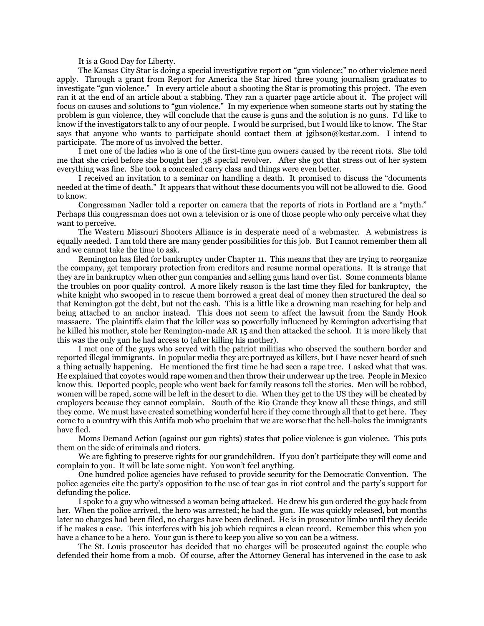It is a Good Day for Liberty.

The Kansas City Star is doing a special investigative report on "gun violence;" no other violence need apply. Through a grant from Report for America the Star hired three young journalism graduates to investigate "gun violence." In every article about a shooting the Star is promoting this project. The even ran it at the end of an article about a stabbing. They ran a quarter page article about it. The project will focus on causes and solutions to "gun violence." In my experience when someone starts out by stating the problem is gun violence, they will conclude that the cause is guns and the solution is no guns. I'd like to know if the investigators talk to any of our people. I would be surprised, but I would like to know. The Star says that anyone who wants to participate should contact them at jgibson@kcstar.com. I intend to participate. The more of us involved the better.

I met one of the ladies who is one of the first-time gun owners caused by the recent riots. She told me that she cried before she bought her .38 special revolver. After she got that stress out of her system everything was fine. She took a concealed carry class and things were even better.

I received an invitation to a seminar on handling a death. It promised to discuss the "documents needed at the time of death." It appears that without these documents you will not be allowed to die. Good to know.

Congressman Nadler told a reporter on camera that the reports of riots in Portland are a "myth." Perhaps this congressman does not own a television or is one of those people who only perceive what they want to perceive.

The Western Missouri Shooters Alliance is in desperate need of a webmaster. A webmistress is equally needed. I am told there are many gender possibilities for this job. But I cannot remember them all and we cannot take the time to ask.

Remington has filed for bankruptcy under Chapter 11. This means that they are trying to reorganize the company, get temporary protection from creditors and resume normal operations. It is strange that they are in bankruptcy when other gun companies and selling guns hand over fist. Some comments blame the troubles on poor quality control. A more likely reason is the last time they filed for bankruptcy, the white knight who swooped in to rescue them borrowed a great deal of money then structured the deal so that Remington got the debt, but not the cash. This is a little like a drowning man reaching for help and being attached to an anchor instead. This does not seem to affect the lawsuit from the Sandy Hook massacre. The plaintiffs claim that the killer was so powerfully influenced by Remington advertising that he killed his mother, stole her Remington-made AR 15 and then attacked the school. It is more likely that this was the only gun he had access to (after killing his mother).

I met one of the guys who served with the patriot militias who observed the southern border and reported illegal immigrants. In popular media they are portrayed as killers, but I have never heard of such a thing actually happening. He mentioned the first time he had seen a rape tree. I asked what that was. He explained that coyotes would rape women and then throw their underwear up the tree. People in Mexico know this. Deported people, people who went back for family reasons tell the stories. Men will be robbed, women will be raped, some will be left in the desert to die. When they get to the US they will be cheated by employers because they cannot complain. South of the Rio Grande they know all these things, and still they come. We must have created something wonderful here if they come through all that to get here. They come to a country with this Antifa mob who proclaim that we are worse that the hell-holes the immigrants have fled.

Moms Demand Action (against our gun rights) states that police violence is gun violence. This puts them on the side of criminals and rioters.

We are fighting to preserve rights for our grandchildren. If you don't participate they will come and complain to you. It will be late some night. You won't feel anything.

One hundred police agencies have refused to provide security for the Democratic Convention. The police agencies cite the party's opposition to the use of tear gas in riot control and the party's support for defunding the police.

I spoke to a guy who witnessed a woman being attacked. He drew his gun ordered the guy back from her. When the police arrived, the hero was arrested; he had the gun. He was quickly released, but months later no charges had been filed, no charges have been declined. He is in prosecutor limbo until they decide if he makes a case. This interferes with his job which requires a clean record. Remember this when you have a chance to be a hero. Your gun is there to keep you alive so you can be a witness.

The St. Louis prosecutor has decided that no charges will be prosecuted against the couple who defended their home from a mob. Of course, after the Attorney General has intervened in the case to ask